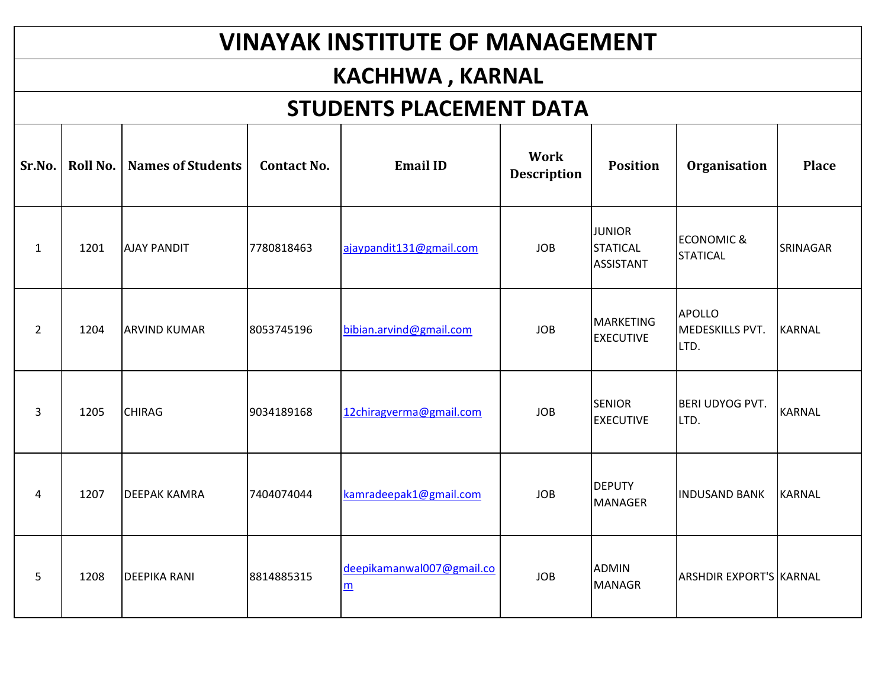## **VINAYAK INSTITUTE OF MANAGEMENT**

## **KACHHWA , KARNAL**

## **STUDENTS PLACEMENT DATA**

| Sr.No.         | Roll No. | Names of Students   | <b>Contact No.</b> | <b>Email ID</b>                              | Work<br><b>Description</b> | <b>Position</b>                               | Organisation                             | <b>Place</b>    |
|----------------|----------|---------------------|--------------------|----------------------------------------------|----------------------------|-----------------------------------------------|------------------------------------------|-----------------|
| $\mathbf{1}$   | 1201     | <b>AJAY PANDIT</b>  | 7780818463         | ajaypandit131@gmail.com                      | <b>JOB</b>                 | <b>JUNIOR</b><br><b>STATICAL</b><br>ASSISTANT | <b>ECONOMIC &amp;</b><br><b>STATICAL</b> | <b>SRINAGAR</b> |
| $\overline{2}$ | 1204     | <b>ARVIND KUMAR</b> | 8053745196         | bibian.arvind@gmail.com                      | <b>JOB</b>                 | <b>MARKETING</b><br><b>EXECUTIVE</b>          | <b>APOLLO</b><br>MEDESKILLS PVT.<br>LTD. | <b>KARNAL</b>   |
| 3              | 1205     | <b>CHIRAG</b>       | 9034189168         | 12chiragverma@gmail.com                      | <b>JOB</b>                 | <b>SENIOR</b><br><b>EXECUTIVE</b>             | BERI UDYOG PVT.<br>LTD.                  | <b>KARNAL</b>   |
| 4              | 1207     | <b>DEEPAK KAMRA</b> | 7404074044         | kamradeepak1@gmail.com                       | <b>JOB</b>                 | <b>DEPUTY</b><br><b>MANAGER</b>               | <b>INDUSAND BANK</b>                     | <b>KARNAL</b>   |
| 5              | 1208     | <b>DEEPIKA RANI</b> | 8814885315         | deepikamanwal007@gmail.co<br>$\underline{m}$ | <b>JOB</b>                 | <b>ADMIN</b><br><b>MANAGR</b>                 | <b>ARSHDIR EXPORT'S KARNAL</b>           |                 |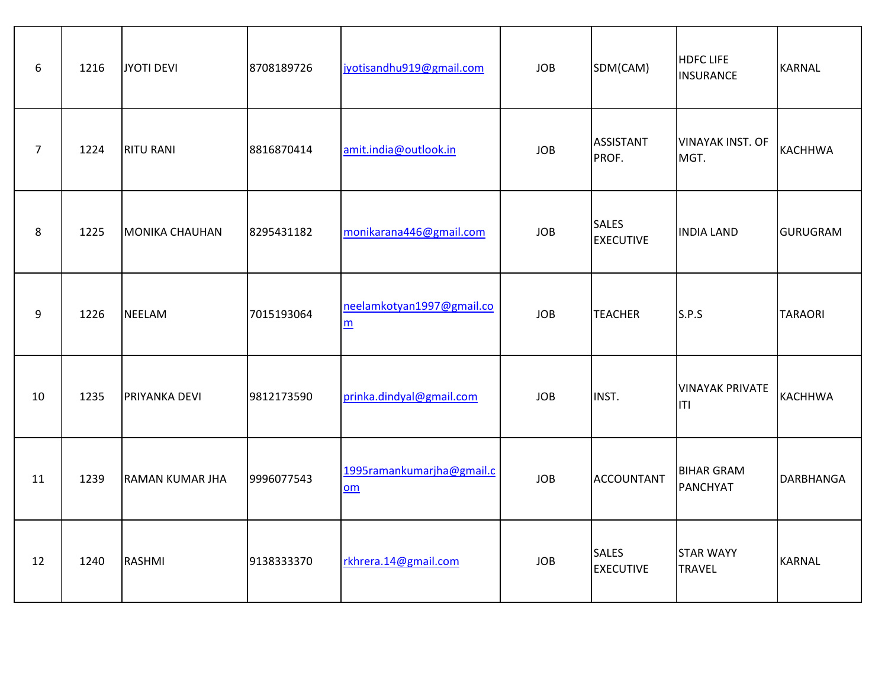| 6              | 1216 | <b>JYOTI DEVI</b>      | 8708189726 | jyotisandhu919@gmail.com        | <b>JOB</b> | SDM(CAM)                         | <b>HDFC LIFE</b><br><b>INSURANCE</b> | <b>KARNAL</b>    |
|----------------|------|------------------------|------------|---------------------------------|------------|----------------------------------|--------------------------------------|------------------|
| $\overline{7}$ | 1224 | <b>RITU RANI</b>       | 8816870414 | amit.india@outlook.in           | <b>JOB</b> | <b>ASSISTANT</b><br>PROF.        | <b>VINAYAK INST. OF</b><br>MGT.      | <b>KACHHWA</b>   |
| 8              | 1225 | <b>MONIKA CHAUHAN</b>  | 8295431182 | monikarana446@gmail.com         | <b>JOB</b> | <b>SALES</b><br><b>EXECUTIVE</b> | <b>INDIA LAND</b>                    | <b>GURUGRAM</b>  |
| 9              | 1226 | <b>NEELAM</b>          | 7015193064 | neelamkotyan1997@gmail.co<br>m  | <b>JOB</b> | <b>TEACHER</b>                   | S.P.S                                | <b>TARAORI</b>   |
| 10             | 1235 | PRIYANKA DEVI          | 9812173590 | prinka.dindyal@gmail.com        | <b>JOB</b> | INST.                            | <b>VINAYAK PRIVATE</b><br><b>ITI</b> | <b>KACHHWA</b>   |
| 11             | 1239 | <b>RAMAN KUMAR JHA</b> | 9996077543 | 1995ramankumarjha@gmail.c<br>om | <b>JOB</b> | <b>ACCOUNTANT</b>                | <b>BIHAR GRAM</b><br>PANCHYAT        | <b>DARBHANGA</b> |
| 12             | 1240 | <b>RASHMI</b>          | 9138333370 | rkhrera.14@gmail.com            | <b>JOB</b> | <b>SALES</b><br><b>EXECUTIVE</b> | <b>STAR WAYY</b><br><b>TRAVEL</b>    | <b>KARNAL</b>    |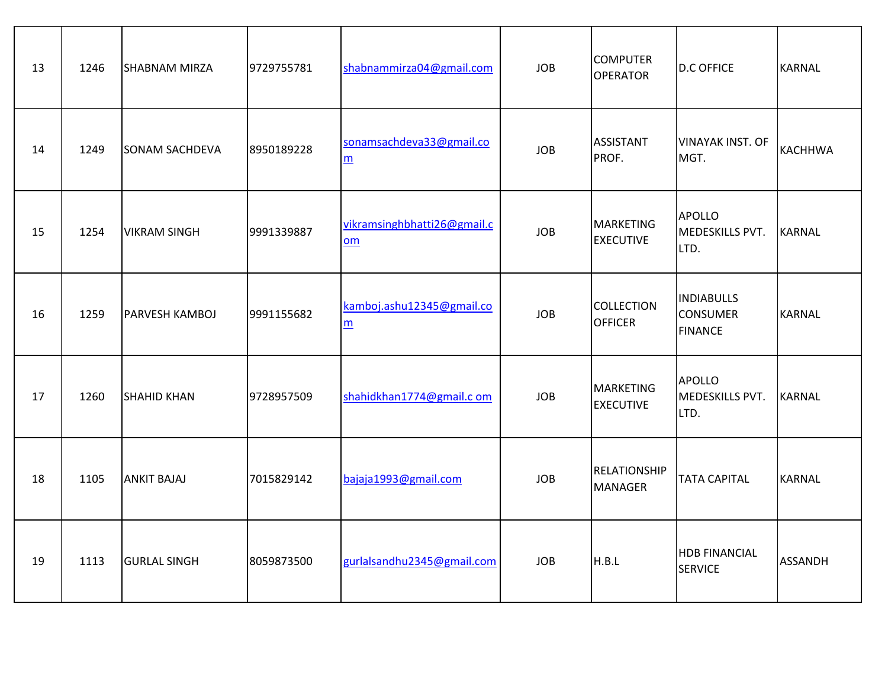| 13 | 1246 | <b>SHABNAM MIRZA</b>  | 9729755781 | shabnammirza04@gmail.com                     | <b>JOB</b> | <b>COMPUTER</b><br><b>OPERATOR</b>    | <b>D.C OFFICE</b>                                      | <b>KARNAL</b>  |
|----|------|-----------------------|------------|----------------------------------------------|------------|---------------------------------------|--------------------------------------------------------|----------------|
| 14 | 1249 | <b>SONAM SACHDEVA</b> | 8950189228 | sonamsachdeva33@gmail.co<br>m                | <b>JOB</b> | <b>ASSISTANT</b><br>PROF.             | VINAYAK INST. OF<br>MGT.                               | <b>KACHHWA</b> |
| 15 | 1254 | <b>VIKRAM SINGH</b>   | 9991339887 | vikramsinghbhatti26@gmail.c<br>om            | <b>JOB</b> | <b>MARKETING</b><br><b>EXECUTIVE</b>  | <b>APOLLO</b><br>MEDESKILLS PVT.<br>LTD.               | <b>KARNAL</b>  |
| 16 | 1259 | <b>PARVESH KAMBOJ</b> | 9991155682 | kamboj.ashu12345@gmail.co<br>$\underline{m}$ | <b>JOB</b> | <b>COLLECTION</b><br><b>OFFICER</b>   | <b>INDIABULLS</b><br><b>CONSUMER</b><br><b>FINANCE</b> | <b>KARNAL</b>  |
| 17 | 1260 | <b>SHAHID KHAN</b>    | 9728957509 | shahidkhan1774@gmail.c om                    | <b>JOB</b> | <b>MARKETING</b><br><b>EXECUTIVE</b>  | <b>APOLLO</b><br>MEDESKILLS PVT.<br>LTD.               | <b>KARNAL</b>  |
| 18 | 1105 | <b>ANKIT BAJAJ</b>    | 7015829142 | bajaja1993@gmail.com                         | <b>JOB</b> | <b>RELATIONSHIP</b><br><b>MANAGER</b> | <b>TATA CAPITAL</b>                                    | <b>KARNAL</b>  |
| 19 | 1113 | <b>GURLAL SINGH</b>   | 8059873500 | gurlalsandhu2345@gmail.com                   | <b>JOB</b> | H.B.L                                 | <b>HDB FINANCIAL</b><br><b>SERVICE</b>                 | <b>ASSANDH</b> |